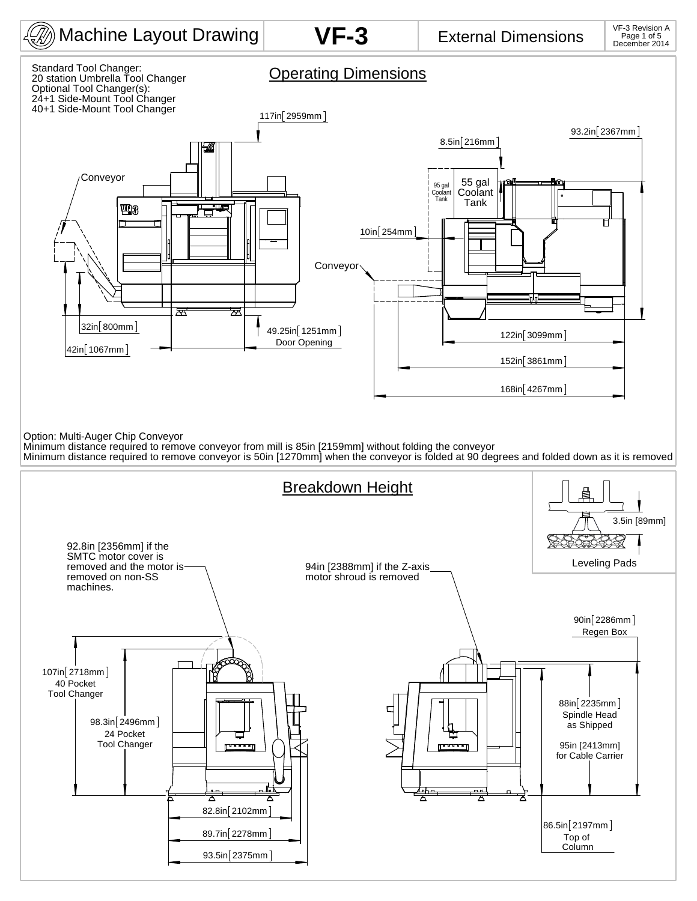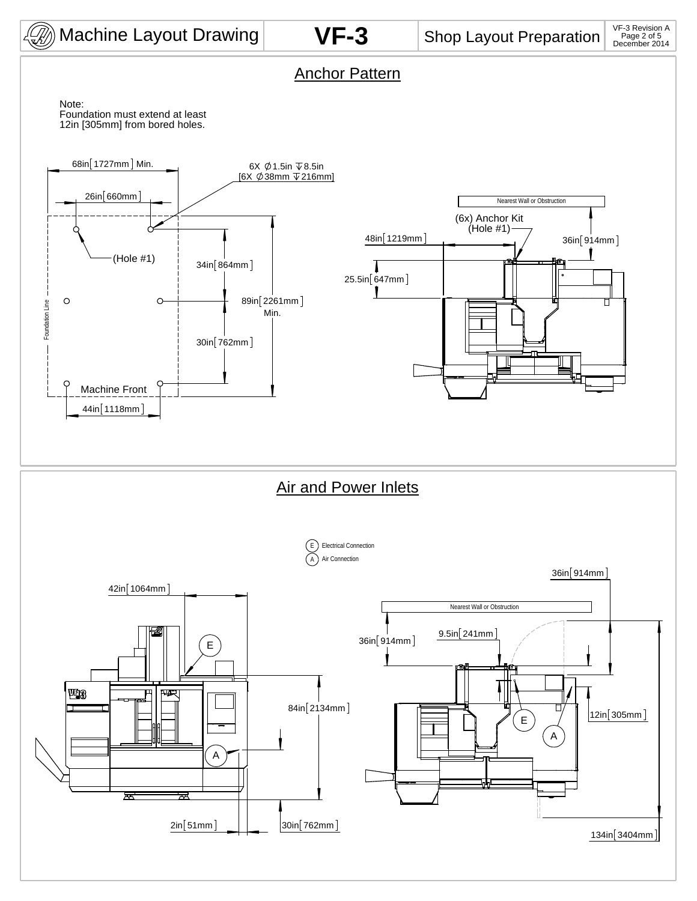

Anchor Pattern

12in [305mm] from bored holes. Note: Foundation must extend at least

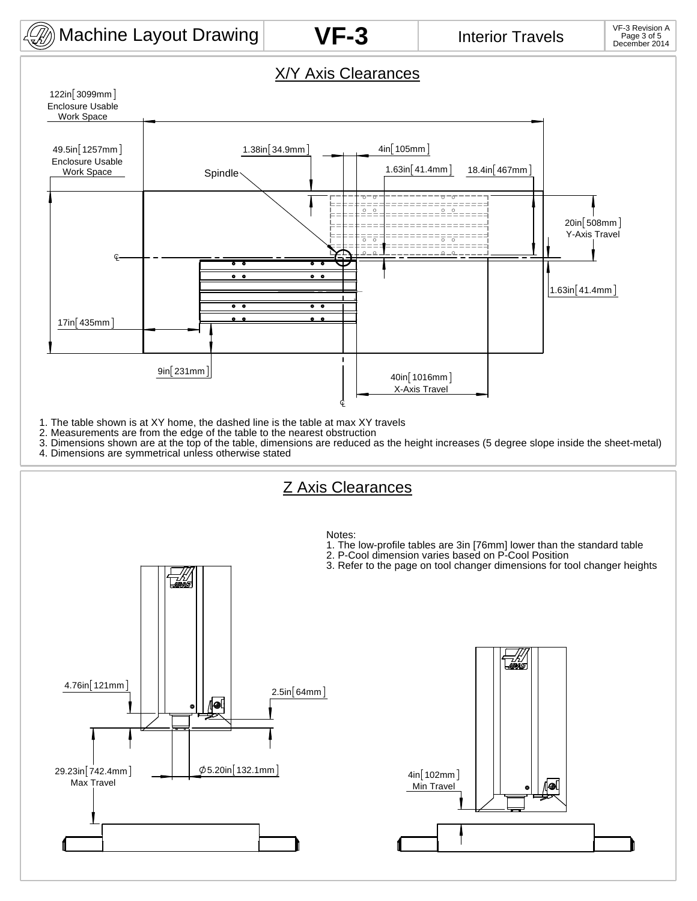

## **VF-3**

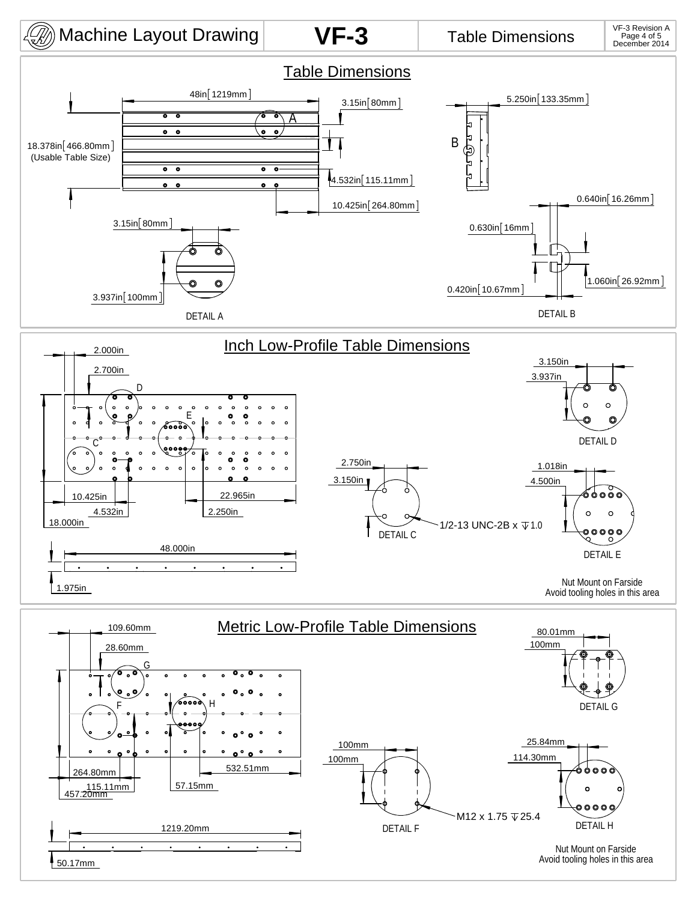